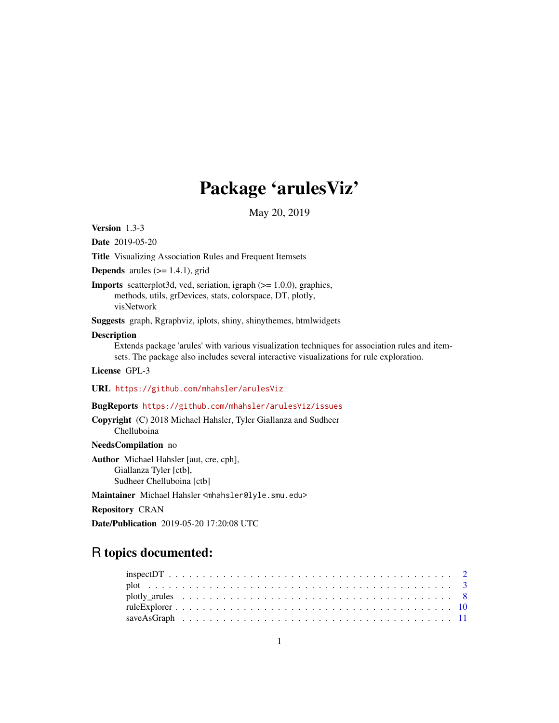# Package 'arulesViz'

May 20, 2019

<span id="page-0-0"></span>Version 1.3-3

Date 2019-05-20

Title Visualizing Association Rules and Frequent Itemsets

**Depends** arules  $(>= 1.4.1)$ , grid

Imports scatterplot3d, vcd, seriation, igraph (>= 1.0.0), graphics, methods, utils, grDevices, stats, colorspace, DT, plotly, visNetwork

Suggests graph, Rgraphviz, iplots, shiny, shinythemes, htmlwidgets

#### Description

Extends package 'arules' with various visualization techniques for association rules and itemsets. The package also includes several interactive visualizations for rule exploration.

License GPL-3

URL <https://github.com/mhahsler/arulesViz>

# BugReports <https://github.com/mhahsler/arulesViz/issues>

Copyright (C) 2018 Michael Hahsler, Tyler Giallanza and Sudheer Chelluboina

#### NeedsCompilation no

Author Michael Hahsler [aut, cre, cph], Giallanza Tyler [ctb], Sudheer Chelluboina [ctb]

Maintainer Michael Hahsler <mhahsler@lyle.smu.edu>

Repository CRAN

Date/Publication 2019-05-20 17:20:08 UTC

# R topics documented: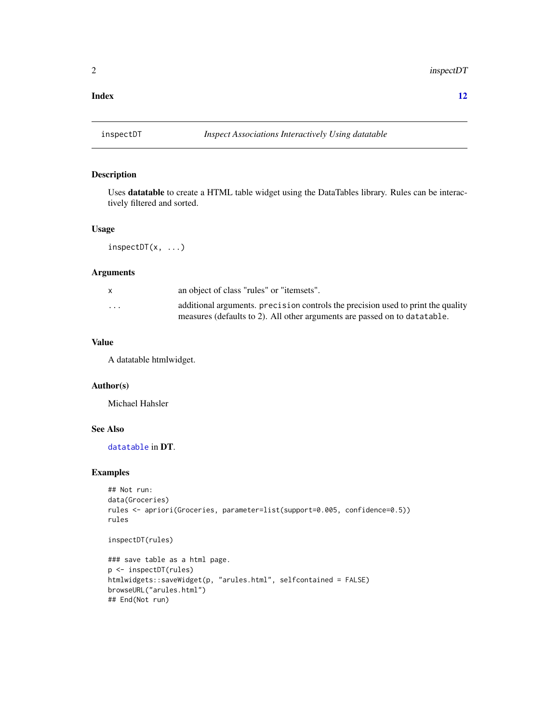#### <span id="page-1-0"></span>**Index** [12](#page-11-0)

<span id="page-1-2"></span>

# <span id="page-1-1"></span>Description

Uses datatable to create a HTML table widget using the DataTables library. Rules can be interactively filtered and sorted.

#### Usage

 $inspectDT(x, \ldots)$ 

### Arguments

|                         | an object of class "rules" or "itemsets".                                                                                                                      |
|-------------------------|----------------------------------------------------------------------------------------------------------------------------------------------------------------|
| $\cdot$ $\cdot$ $\cdot$ | additional arguments, precision controls the precision used to print the quality<br>measures (defaults to 2). All other arguments are passed on to data table. |

# Value

A datatable htmlwidget.

# Author(s)

Michael Hahsler

# See Also

[datatable](#page-1-1) in DT.

```
## Not run:
data(Groceries)
rules <- apriori(Groceries, parameter=list(support=0.005, confidence=0.5))
rules
```

```
inspectDT(rules)
```

```
### save table as a html page.
p <- inspectDT(rules)
htmlwidgets::saveWidget(p, "arules.html", selfcontained = FALSE)
browseURL("arules.html")
## End(Not run)
```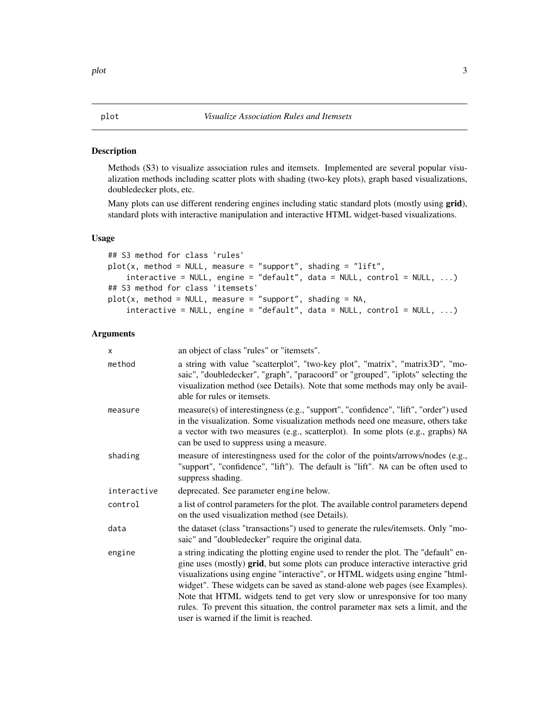# <span id="page-2-1"></span><span id="page-2-0"></span>Description

Methods (S3) to visualize association rules and itemsets. Implemented are several popular visualization methods including scatter plots with shading (two-key plots), graph based visualizations, doubledecker plots, etc.

Many plots can use different rendering engines including static standard plots (mostly using grid), standard plots with interactive manipulation and interactive HTML widget-based visualizations.

### Usage

```
## S3 method for class 'rules'
plot(x, method = NULL, measure = "support", shading = "lift",interactive = NULL, engine = "default", data = NULL, control = NULL, ...)
## S3 method for class 'itemsets'
plot(x, method = NULL, measure = "support", shading = NA,interactive = NULL, engine = "default", data = NULL, control = NULL, ...)
```
# Arguments

| x           | an object of class "rules" or "itemsets".                                                                                                                                                                                                                                                                                                                                                                                                                                                                                                             |
|-------------|-------------------------------------------------------------------------------------------------------------------------------------------------------------------------------------------------------------------------------------------------------------------------------------------------------------------------------------------------------------------------------------------------------------------------------------------------------------------------------------------------------------------------------------------------------|
| method      | a string with value "scatterplot", "two-key plot", "matrix", "matrix3D", "mo-<br>saic", "doubledecker", "graph", "paracoord" or "grouped", "iplots" selecting the<br>visualization method (see Details). Note that some methods may only be avail-<br>able for rules or itemsets.                                                                                                                                                                                                                                                                     |
| measure     | measure(s) of interestingness (e.g., "support", "confidence", "lift", "order") used<br>in the visualization. Some visualization methods need one measure, others take<br>a vector with two measures (e.g., scatterplot). In some plots (e.g., graphs) NA<br>can be used to suppress using a measure.                                                                                                                                                                                                                                                  |
| shading     | measure of interestingness used for the color of the points/arrows/nodes (e.g.,<br>"support", "confidence", "lift"). The default is "lift". NA can be often used to<br>suppress shading.                                                                                                                                                                                                                                                                                                                                                              |
| interactive | deprecated. See parameter engine below.                                                                                                                                                                                                                                                                                                                                                                                                                                                                                                               |
| control     | a list of control parameters for the plot. The available control parameters depend<br>on the used visualization method (see Details).                                                                                                                                                                                                                                                                                                                                                                                                                 |
| data        | the dataset (class "transactions") used to generate the rules/itemsets. Only "mo-<br>saic" and "doubledecker" require the original data.                                                                                                                                                                                                                                                                                                                                                                                                              |
| engine      | a string indicating the plotting engine used to render the plot. The "default" en-<br>gine uses (mostly) grid, but some plots can produce interactive interactive grid<br>visualizations using engine "interactive", or HTML widgets using engine "html-<br>widget". These widgets can be saved as stand-alone web pages (see Examples).<br>Note that HTML widgets tend to get very slow or unresponsive for too many<br>rules. To prevent this situation, the control parameter max sets a limit, and the<br>user is warned if the limit is reached. |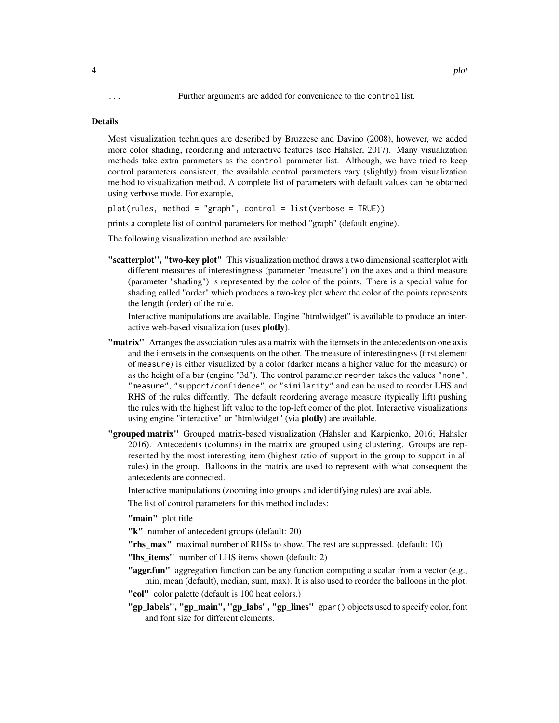... Further arguments are added for convenience to the control list.

#### Details

Most visualization techniques are described by Bruzzese and Davino (2008), however, we added more color shading, reordering and interactive features (see Hahsler, 2017). Many visualization methods take extra parameters as the control parameter list. Although, we have tried to keep control parameters consistent, the available control parameters vary (slightly) from visualization method to visualization method. A complete list of parameters with default values can be obtained using verbose mode. For example,

plot(rules, method = "graph", control = list(verbose = TRUE))

prints a complete list of control parameters for method "graph" (default engine).

The following visualization method are available:

"scatterplot", "two-key plot" This visualization method draws a two dimensional scatterplot with different measures of interestingness (parameter "measure") on the axes and a third measure (parameter "shading") is represented by the color of the points. There is a special value for shading called "order" which produces a two-key plot where the color of the points represents the length (order) of the rule.

Interactive manipulations are available. Engine "htmlwidget" is available to produce an interactive web-based visualization (uses plotly).

- **"matrix"** Arranges the association rules as a matrix with the itemsets in the antecedents on one axis and the itemsets in the consequents on the other. The measure of interestingness (first element of measure) is either visualized by a color (darker means a higher value for the measure) or as the height of a bar (engine "3d"). The control parameter reorder takes the values "none", "measure", "support/confidence", or "similarity" and can be used to reorder LHS and RHS of the rules differntly. The default reordering average measure (typically lift) pushing the rules with the highest lift value to the top-left corner of the plot. Interactive visualizations using engine "interactive" or "htmlwidget" (via plotly) are available.
- "grouped matrix" Grouped matrix-based visualization (Hahsler and Karpienko, 2016; Hahsler 2016). Antecedents (columns) in the matrix are grouped using clustering. Groups are represented by the most interesting item (highest ratio of support in the group to support in all rules) in the group. Balloons in the matrix are used to represent with what consequent the antecedents are connected.

Interactive manipulations (zooming into groups and identifying rules) are available.

The list of control parameters for this method includes:

"main" plot title

"k" number of antecedent groups (default: 20)

**"rhs\_max"** maximal number of RHSs to show. The rest are suppressed. (default: 10)

"lhs\_items" number of LHS items shown (default: 2)

"**aggr.fun**" aggregation function can be any function computing a scalar from a vector (e.g., min, mean (default), median, sum, max). It is also used to reorder the balloons in the plot.

"col" color palette (default is 100 heat colors.)

"gp\_labels", "gp\_main", "gp\_labs", "gp\_lines" gpar() objects used to specify color, font and font size for different elements.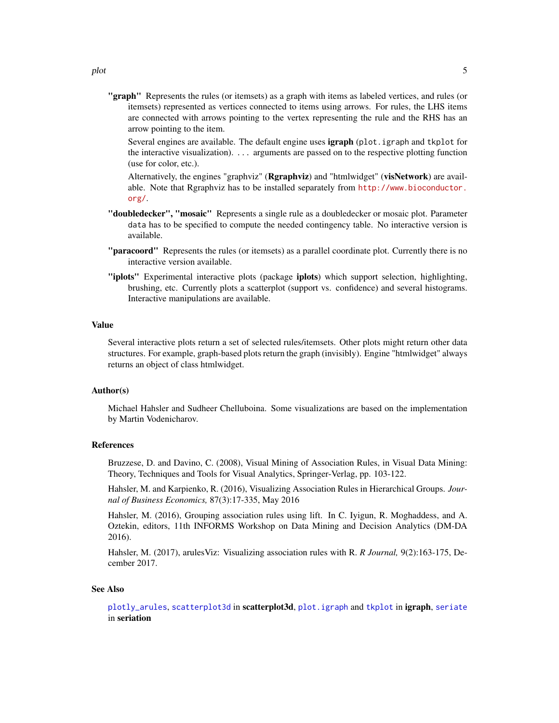<span id="page-4-0"></span>"graph" Represents the rules (or itemsets) as a graph with items as labeled vertices, and rules (or itemsets) represented as vertices connected to items using arrows. For rules, the LHS items are connected with arrows pointing to the vertex representing the rule and the RHS has an arrow pointing to the item.

Several engines are available. The default engine uses **igraph** (plot.igraph and tkplot for the interactive visualization). ... arguments are passed on to the respective plotting function (use for color, etc.).

Alternatively, the engines "graphviz" (Rgraphviz) and "htmlwidget" (visNetwork) are available. Note that Rgraphviz has to be installed separately from [http://www.bioconductor.](http://www.bioconductor.org/) [org/](http://www.bioconductor.org/).

- "doubledecker", "mosaic" Represents a single rule as a doubledecker or mosaic plot. Parameter data has to be specified to compute the needed contingency table. No interactive version is available.
- "paracoord" Represents the rules (or itemsets) as a parallel coordinate plot. Currently there is no interactive version available.
- "iplots" Experimental interactive plots (package iplots) which support selection, highlighting, brushing, etc. Currently plots a scatterplot (support vs. confidence) and several histograms. Interactive manipulations are available.

#### Value

Several interactive plots return a set of selected rules/itemsets. Other plots might return other data structures. For example, graph-based plots return the graph (invisibly). Engine "htmlwidget" always returns an object of class htmlwidget.

#### Author(s)

Michael Hahsler and Sudheer Chelluboina. Some visualizations are based on the implementation by Martin Vodenicharov.

#### References

Bruzzese, D. and Davino, C. (2008), Visual Mining of Association Rules, in Visual Data Mining: Theory, Techniques and Tools for Visual Analytics, Springer-Verlag, pp. 103-122.

Hahsler, M. and Karpienko, R. (2016), Visualizing Association Rules in Hierarchical Groups. *Journal of Business Economics,* 87(3):17-335, May 2016

Hahsler, M. (2016), Grouping association rules using lift. In C. Iyigun, R. Moghaddess, and A. Oztekin, editors, 11th INFORMS Workshop on Data Mining and Decision Analytics (DM-DA 2016).

Hahsler, M. (2017), arulesViz: Visualizing association rules with R. *R Journal,* 9(2):163-175, December 2017.

#### See Also

[plotly\\_arules](#page-7-1), [scatterplot3d](#page-0-0) in scatterplot3d, [plot.igraph](#page-0-0) and [tkplot](#page-0-0) in igraph, [seriate](#page-0-0) in seriation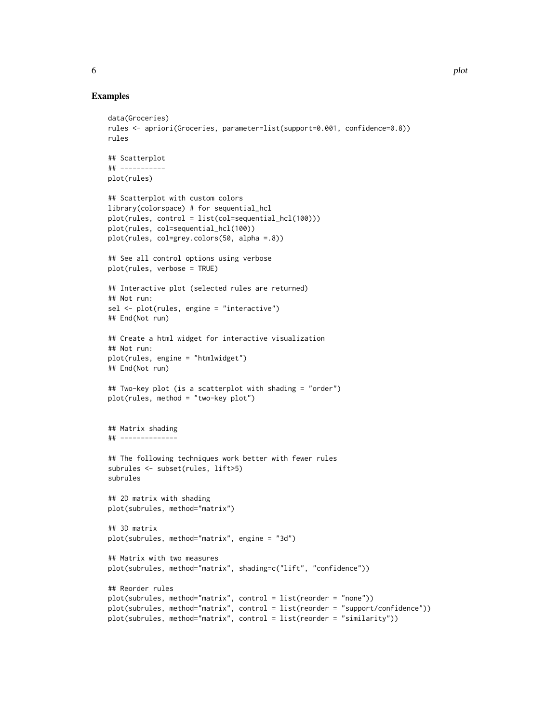#### Examples

```
data(Groceries)
rules <- apriori(Groceries, parameter=list(support=0.001, confidence=0.8))
rules
## Scatterplot
## -----------
plot(rules)
## Scatterplot with custom colors
library(colorspace) # for sequential_hcl
plot(rules, control = list(col=sequential_hcl(100)))
plot(rules, col=sequential_hcl(100))
plot(rules, col=grey.colors(50, alpha =.8))
## See all control options using verbose
plot(rules, verbose = TRUE)
## Interactive plot (selected rules are returned)
## Not run:
sel <- plot(rules, engine = "interactive")
## End(Not run)
## Create a html widget for interactive visualization
## Not run:
plot(rules, engine = "htmlwidget")
## End(Not run)
## Two-key plot (is a scatterplot with shading = "order")
plot(rules, method = "two-key plot")
## Matrix shading
## --------------
## The following techniques work better with fewer rules
subrules <- subset(rules, lift>5)
subrules
## 2D matrix with shading
plot(subrules, method="matrix")
## 3D matrix
plot(subrules, method="matrix", engine = "3d")
## Matrix with two measures
plot(subrules, method="matrix", shading=c("lift", "confidence"))
## Reorder rules
plot(subrules, method="matrix", control = list(reorder = "none"))
plot(subrules, method="matrix", control = list(reorder = "support/confidence"))
plot(subrules, method="matrix", control = list(reorder = "similarity"))
```
6 between the contraction of the contraction of the contraction of the contraction of the contraction of the contraction of the contraction of the contraction of the contraction of the contraction of the contraction of the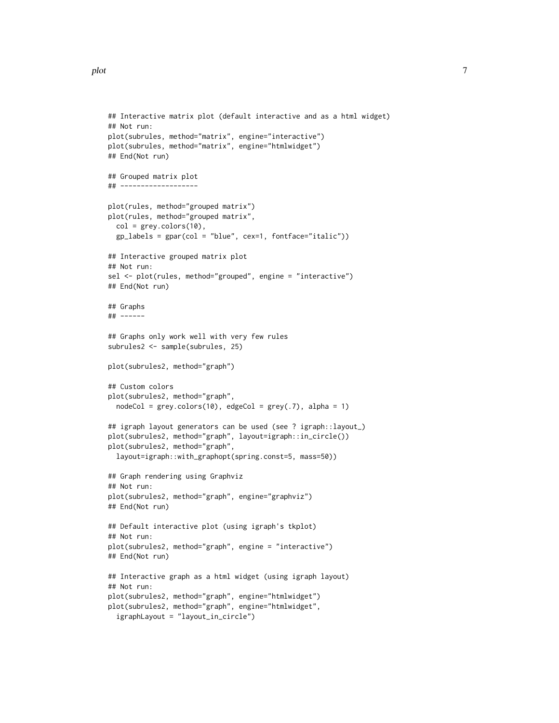```
## Interactive matrix plot (default interactive and as a html widget)
## Not run:
plot(subrules, method="matrix", engine="interactive")
plot(subrules, method="matrix", engine="htmlwidget")
## End(Not run)
## Grouped matrix plot
## -------------------
plot(rules, method="grouped matrix")
plot(rules, method="grouped matrix",
 col = grey.colors(10),
 gp_labels = gpar(col = "blue", cex=1, fontface="italic"))
## Interactive grouped matrix plot
## Not run:
sel <- plot(rules, method="grouped", engine = "interactive")
## End(Not run)
## Graphs
## ------
## Graphs only work well with very few rules
subrules2 <- sample(subrules, 25)
plot(subrules2, method="graph")
## Custom colors
plot(subrules2, method="graph",
 nodeCol = grey.coolors(10), edgeCol = grey(.7), alpha = 1)## igraph layout generators can be used (see ? igraph::layout_)
plot(subrules2, method="graph", layout=igraph::in_circle())
plot(subrules2, method="graph",
 layout=igraph::with_graphopt(spring.const=5, mass=50))
## Graph rendering using Graphviz
## Not run:
plot(subrules2, method="graph", engine="graphviz")
## End(Not run)
## Default interactive plot (using igraph's tkplot)
## Not run:
plot(subrules2, method="graph", engine = "interactive")
## End(Not run)
## Interactive graph as a html widget (using igraph layout)
## Not run:
plot(subrules2, method="graph", engine="htmlwidget")
plot(subrules2, method="graph", engine="htmlwidget",
 igraphLayout = "layout_in_circle")
```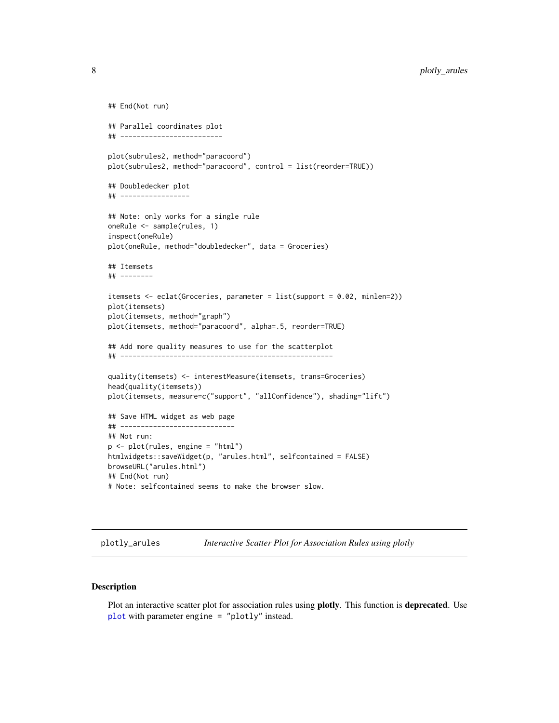```
## End(Not run)
## Parallel coordinates plot
## -------------------------
plot(subrules2, method="paracoord")
plot(subrules2, method="paracoord", control = list(reorder=TRUE))
## Doubledecker plot
## -----------------
## Note: only works for a single rule
oneRule <- sample(rules, 1)
inspect(oneRule)
plot(oneRule, method="doubledecker", data = Groceries)
## Itemsets
## --------
itemsets <- eclat(Groceries, parameter = list(support = 0.02, minlen=2))
plot(itemsets)
plot(itemsets, method="graph")
plot(itemsets, method="paracoord", alpha=.5, reorder=TRUE)
## Add more quality measures to use for the scatterplot
## ----------------------------------------------------
quality(itemsets) <- interestMeasure(itemsets, trans=Groceries)
head(quality(itemsets))
plot(itemsets, measure=c("support", "allConfidence"), shading="lift")
## Save HTML widget as web page
## ----------------------------
## Not run:
p <- plot(rules, engine = "html")
htmlwidgets::saveWidget(p, "arules.html", selfcontained = FALSE)
browseURL("arules.html")
## End(Not run)
# Note: selfcontained seems to make the browser slow.
```
<span id="page-7-1"></span>plotly\_arules *Interactive Scatter Plot for Association Rules using plotly*

### Description

Plot an interactive scatter plot for association rules using **plotly**. This function is **deprecated**. Use [plot](#page-2-1) with parameter engine = "plotly" instead.

<span id="page-7-0"></span>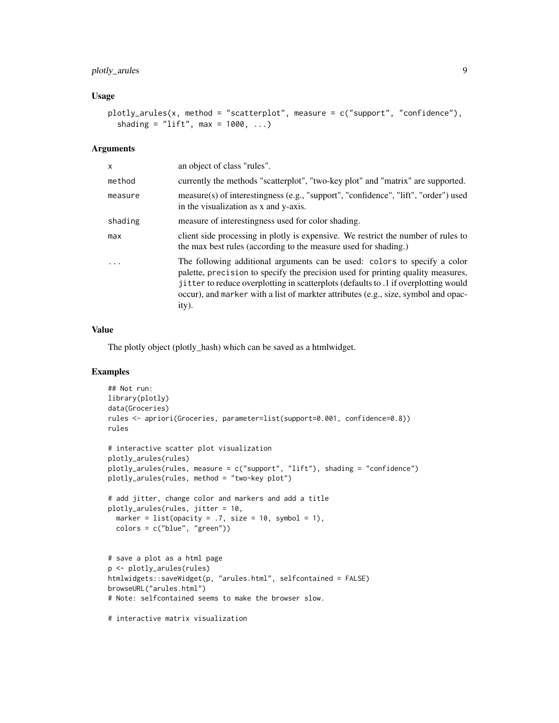# plotly\_arules 9

#### Usage

```
plotly_arules(x, method = "scatterplot", measure = c("support", "confidence"),
  shading = "lift", max = 1000, ...)
```
#### Arguments

| x        | an object of class "rules".                                                                                                                                                                                                                                                                                                                        |
|----------|----------------------------------------------------------------------------------------------------------------------------------------------------------------------------------------------------------------------------------------------------------------------------------------------------------------------------------------------------|
| method   | currently the methods "scatterplot", "two-key plot" and "matrix" are supported.                                                                                                                                                                                                                                                                    |
| measure  | measure(s) of interestingness (e.g., "support", "confidence", "lift", "order") used<br>in the visualization as x and y-axis.                                                                                                                                                                                                                       |
| shading  | measure of interestingness used for color shading.                                                                                                                                                                                                                                                                                                 |
| max      | client side processing in plotly is expensive. We restrict the number of rules to<br>the max best rules (according to the measure used for shading.)                                                                                                                                                                                               |
| $\cdots$ | The following additional arguments can be used: colors to specify a color<br>palette, precision to specify the precision used for printing quality measures,<br>jitter to reduce overplotting in scatterplots (defaults to .1 if overplotting would<br>occur), and marker with a list of markter attributes (e.g., size, symbol and opac-<br>ity). |

#### Value

The plotly object (plotly\_hash) which can be saved as a htmlwidget.

```
## Not run:
library(plotly)
data(Groceries)
rules <- apriori(Groceries, parameter=list(support=0.001, confidence=0.8))
rules
# interactive scatter plot visualization
plotly_arules(rules)
plotly_arules(rules, measure = c("support", "lift"), shading = "confidence")
plotly_arules(rules, method = "two-key plot")
# add jitter, change color and markers and add a title
plotly_arules(rules, jitter = 10,
 marker = list(opacity = .7, size = 10, symbol = 1),
  colors = c("blue", "green"))
# save a plot as a html page
p <- plotly_arules(rules)
htmlwidgets::saveWidget(p, "arules.html", selfcontained = FALSE)
browseURL("arules.html")
# Note: selfcontained seems to make the browser slow.
# interactive matrix visualization
```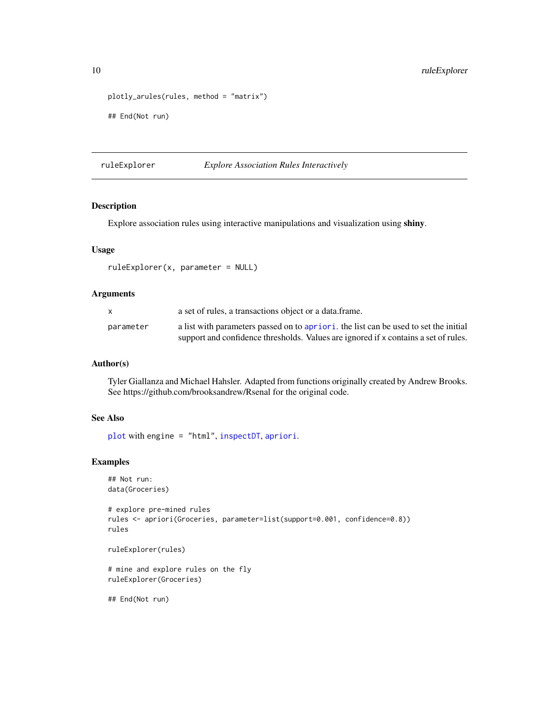```
plotly_arules(rules, method = "matrix")
## End(Not run)
```
ruleExplorer *Explore Association Rules Interactively*

# Description

Explore association rules using interactive manipulations and visualization using shiny.

#### Usage

```
ruleExplorer(x, parameter = NULL)
```
#### Arguments

|           | a set of rules, a transactions object or a data.frame.                               |
|-----------|--------------------------------------------------------------------------------------|
| parameter | a list with parameters passed on to apriori, the list can be used to set the initial |
|           | support and confidence thresholds. Values are ignored if x contains a set of rules.  |

#### Author(s)

Tyler Giallanza and Michael Hahsler. Adapted from functions originally created by Andrew Brooks. See https://github.com/brooksandrew/Rsenal for the original code.

# See Also

[plot](#page-2-1) with engine = "html", [inspectDT](#page-1-2), [apriori](#page-0-0).

```
## Not run:
data(Groceries)
# explore pre-mined rules
rules <- apriori(Groceries, parameter=list(support=0.001, confidence=0.8))
rules
ruleExplorer(rules)
# mine and explore rules on the fly
ruleExplorer(Groceries)
## End(Not run)
```
<span id="page-9-0"></span>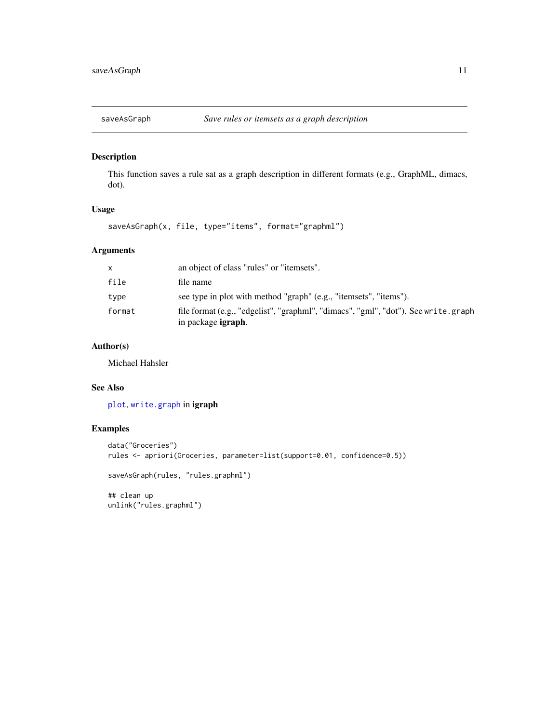<span id="page-10-0"></span>

# Description

This function saves a rule sat as a graph description in different formats (e.g., GraphML, dimacs, dot).

#### Usage

saveAsGraph(x, file, type="items", format="graphml")

# Arguments

| X      | an object of class "rules" or "itemsets".                                                                        |
|--------|------------------------------------------------------------------------------------------------------------------|
| file   | file name                                                                                                        |
| type   | see type in plot with method "graph" (e.g., "itemsets", "items").                                                |
| format | file format (e.g., "edgelist", "graphml", "dimacs", "gml", "dot"). See write.graph<br>in package <b>igraph</b> . |

# Author(s)

Michael Hahsler

# See Also

[plot](#page-2-1), [write.graph](#page-0-0) in igraph

```
data("Groceries")
rules <- apriori(Groceries, parameter=list(support=0.01, confidence=0.5))
saveAsGraph(rules, "rules.graphml")
## clean up
unlink("rules.graphml")
```